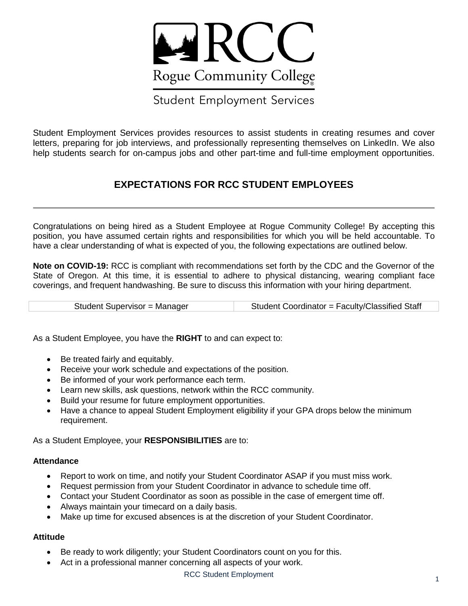

# Student Employment Services

 Student Employment Services provides resources to assist students in creating resumes and cover letters, preparing for job interviews, and professionally representing themselves on LinkedIn. We also help students search for on-campus jobs and other part-time and full-time employment opportunities.

# **EXPECTATIONS FOR RCC STUDENT EMPLOYEES**

 Congratulations on being hired as a Student Employee at Rogue Community College! By accepting this position, you have assumed certain rights and responsibilities for which you will be held accountable. To have a clear understanding of what is expected of you, the following expectations are outlined below.

 **Note on COVID-19:** RCC is compliant with recommendations set forth by the CDC and the Governor of the State of Oregon. At this time, it is essential to adhere to physical distancing, wearing compliant face coverings, and frequent handwashing. Be sure to discuss this information with your hiring department.

| Student Supervisor = Manager | Student Coordinator = Faculty/Classified Staff |
|------------------------------|------------------------------------------------|
|------------------------------|------------------------------------------------|

As a Student Employee, you have the **RIGHT** to and can expect to:

- Be treated fairly and equitably.
- Receive your work schedule and expectations of the position.
- $\bullet$ Be informed of your work performance each term.
- Learn new skills, ask questions, network within the RCC community.
- Build your resume for future employment opportunities.
- $\bullet$  Have a chance to appeal Student Employment eligibility if your GPA drops below the minimum requirement.

As a Student Employee, your **RESPONSIBILITIES** are to:

#### **Attendance**

- Report to work on time, and notify your Student Coordinator ASAP if you must miss work.
- Request permission from your Student Coordinator in advance to schedule time off.
- Contact your Student Coordinator as soon as possible in the case of emergent time off.
- Always maintain your timecard on a daily basis.
- $\bullet$ Make up time for excused absences is at the discretion of your Student Coordinator.

#### **Attitude**

- Be ready to work diligently; your Student Coordinators count on you for this.
- Act in a professional manner concerning all aspects of your work.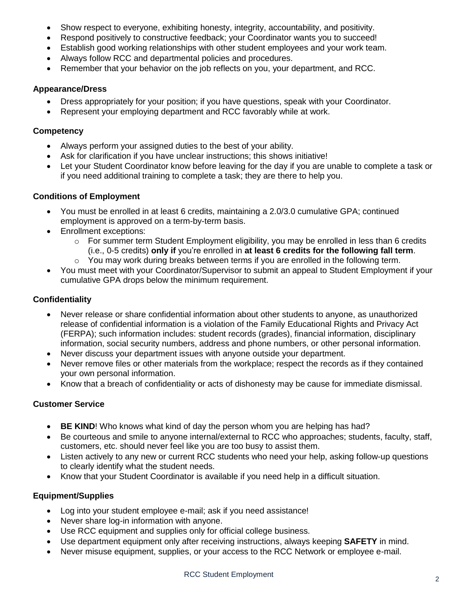- $\bullet$ Show respect to everyone, exhibiting honesty, integrity, accountability, and positivity.
- Respond positively to constructive feedback; your Coordinator wants you to succeed!
- Establish good working relationships with other student employees and your work team.
- Always follow RCC and departmental policies and procedures.
- Remember that your behavior on the job reflects on you, your department, and RCC.

#### **Appearance/Dress**

- Dress appropriately for your position; if you have questions, speak with your Coordinator.
- Represent your employing department and RCC favorably while at work.

#### **Competency**

- Always perform your assigned duties to the best of your ability.
- Ask for clarification if you have unclear instructions; this shows initiative!
- $\bullet$  if you need additional training to complete a task; they are there to help you. Let your Student Coordinator know before leaving for the day if you are unable to complete a task or

### **Conditions of Employment**

- You must be enrolled in at least 6 credits, maintaining a 2.0/3.0 cumulative GPA; continued employment is approved on a term-by-term basis.
- Enrollment exceptions:
	- $\circ$  For summer term Student Employment eligibility, you may be enrolled in less than 6 credits (i.e., 0-5 credits) **only if** you're enrolled in **at least 6 credits for the following fall term**.
	- $\circ$  You may work during breaks between terms if you are enrolled in the following term.
- $\bullet$  cumulative GPA drops below the minimum requirement. You must meet with your Coordinator/Supervisor to submit an appeal to Student Employment if your

### **Confidentiality**

- $\bullet$  release of confidential information is a violation of the Family Educational Rights and Privacy Act (FERPA); such information includes: student records (grades), financial information, disciplinary information, social security numbers, address and phone numbers, or other personal information. Never release or share confidential information about other students to anyone, as unauthorized
- $\bullet$ Never discuss your department issues with anyone outside your department.
- $\bullet$  your own personal information. Never remove files or other materials from the workplace; respect the records as if they contained
- Know that a breach of confidentiality or acts of dishonesty may be cause for immediate dismissal.

#### **Customer Service**

- **BE KIND**! Who knows what kind of day the person whom you are helping has had?
- Be courteous and smile to anyone internal/external to RCC who approaches; students, faculty, staff, customers, etc. should never feel like you are too busy to assist them.
- Listen actively to any new or current RCC students who need your help, asking follow-up questions to clearly identify what the student needs.
- Know that your Student Coordinator is available if you need help in a difficult situation.

# **Equipment/Supplies**

- Log into your student employee e-mail; ask if you need assistance!
- Never share log-in information with anyone.
- Use RCC equipment and supplies only for official college business.
- Use department equipment only after receiving instructions, always keeping **SAFETY** in mind.
- $\bullet$ Never misuse equipment, supplies, or your access to the RCC Network or employee e-mail.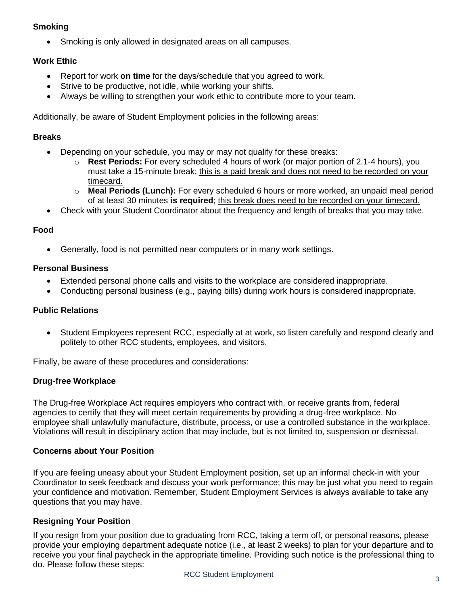# **Smoking**

Smoking is only allowed in designated areas on all campuses.

### **Work Ethic**

- Report for work **on time** for the days/schedule that you agreed to work.
- Strive to be productive, not idle, while working your shifts.
- Always be willing to strengthen your work ethic to contribute more to your team.

Additionally, be aware of Student Employment policies in the following areas:

#### **Breaks**

- Depending on your schedule, you may or may not qualify for these breaks:
	- o **Rest Periods:** For every scheduled 4 hours of work (or major portion of 2.1-4 hours), you must take a 15-minute break; this is a paid break and does not need to be recorded on your timecard.
	- o **Meal Periods (Lunch):** For every scheduled 6 hours or more worked, an unpaid meal period of at least 30 minutes **is required**; this break does need to be recorded on your timecard.
- Check with your Student Coordinator about the frequency and length of breaks that you may take.

#### **Food**

Generally, food is not permitted near computers or in many work settings.

#### **Personal Business**

- Extended personal phone calls and visits to the workplace are considered inappropriate.
- Conducting personal business (e.g., paying bills) during work hours is considered inappropriate.

#### **Public Relations**

 $\bullet$  politely to other RCC students, employees, and visitors. Student Employees represent RCC, especially at at work, so listen carefully and respond clearly and

Finally, be aware of these procedures and considerations:

#### **Drug-free Workplace**

 The Drug-free Workplace Act requires employers who contract with, or receive grants from, federal agencies to certify that they will meet certain requirements by providing a drug-free workplace. No employee shall unlawfully manufacture, distribute, process, or use a controlled substance in the workplace. Violations will result in disciplinary action that may include, but is not limited to, suspension or dismissal.

#### **Concerns about Your Position**

 If you are feeling uneasy about your Student Employment position, set up an informal check-in with your Coordinator to seek feedback and discuss your work performance; this may be just what you need to regain your confidence and motivation. Remember, Student Employment Services is always available to take any questions that you may have.

#### **Resigning Your Position**

 If you resign from your position due to graduating from RCC, taking a term off, or personal reasons, please provide your employing department adequate notice (i.e., at least 2 weeks) to plan for your departure and to receive you your final paycheck in the appropriate timeline. Providing such notice is the professional thing to do. Please follow these steps: